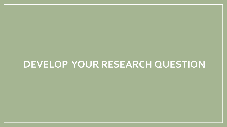#### **DEVELOP YOUR RESEARCH QUESTION**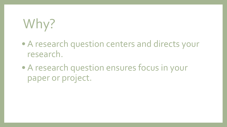# Why?

- A research question centers and directs your research.
- A research question ensures focus in your paper or project.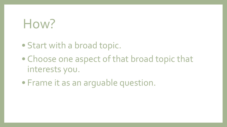#### How?

- Start with a broad topic.
- Choose one aspect of that broad topic that interests you.
- Frame it as an arguable question.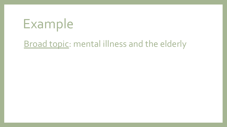## Example

#### **Broad topic: mental illness and the elderly**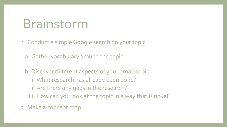#### Brainstorm

1. Conduct a simple Google search on your topic

a. Gather vocabulary around the topic

b. Discover different aspects of your broad topic i. What research has already been done? ii. Are there any gaps in the research? iii. How can you look at the topic in a way that is novel?

2. Make a concept map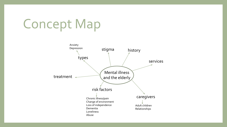## Concept Map

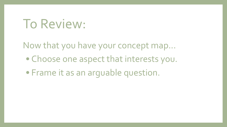#### To Review:

Now that you have your concept map...

- Choose one aspect that interests you.
- Frame it as an arguable question.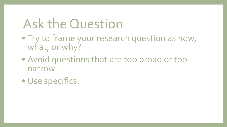## Ask the Question

- Try to frame your research question as how, what, or why?
- Avoid questions that are too broad or too narrow.
- Use specifics.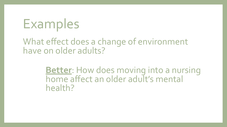## Examples

What effect does a change of environment have on older adults?

> **Better**: How does moving into a nursing home affect an older adult's mental health?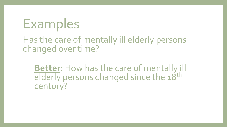## Examples

Has the care of mentally ill elderly persons changed over time?

**Better**: How has the care of mentally ill elderly persons changed since the 18<sup>th</sup> century?